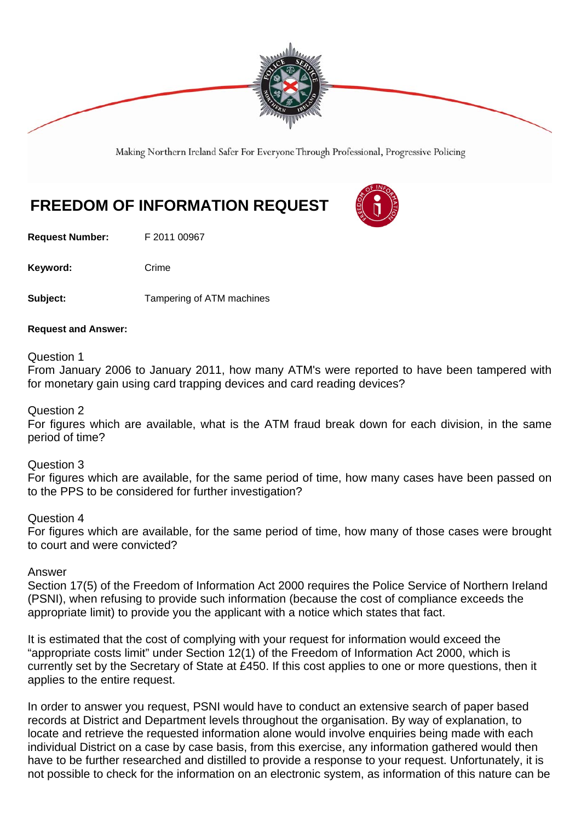

Making Northern Ireland Safer For Everyone Through Professional, Progressive Policing

# **FREEDOM OF INFORMATION REQUEST**

**Request Number:** F 2011 00967

Keyword: Crime

**Subject:** Tampering of ATM machines

#### **Request and Answer:**

Question 1

From January 2006 to January 2011, how many ATM's were reported to have been tampered with for monetary gain using card trapping devices and card reading devices?

#### Question 2

For figures which are available, what is the ATM fraud break down for each division, in the same period of time?

## Question 3

For figures which are available, for the same period of time, how many cases have been passed on to the PPS to be considered for further investigation?

#### Question 4

For figures which are available, for the same period of time, how many of those cases were brought to court and were convicted?

## Answer

Section 17(5) of the Freedom of Information Act 2000 requires the Police Service of Northern Ireland (PSNI), when refusing to provide such information (because the cost of compliance exceeds the appropriate limit) to provide you the applicant with a notice which states that fact.

It is estimated that the cost of complying with your request for information would exceed the "appropriate costs limit" under Section 12(1) of the Freedom of Information Act 2000, which is currently set by the Secretary of State at £450. If this cost applies to one or more questions, then it applies to the entire request.

In order to answer you request, PSNI would have to conduct an extensive search of paper based records at District and Department levels throughout the organisation. By way of explanation, to locate and retrieve the requested information alone would involve enquiries being made with each individual District on a case by case basis, from this exercise, any information gathered would then have to be further researched and distilled to provide a response to your request. Unfortunately, it is not possible to check for the information on an electronic system, as information of this nature can be